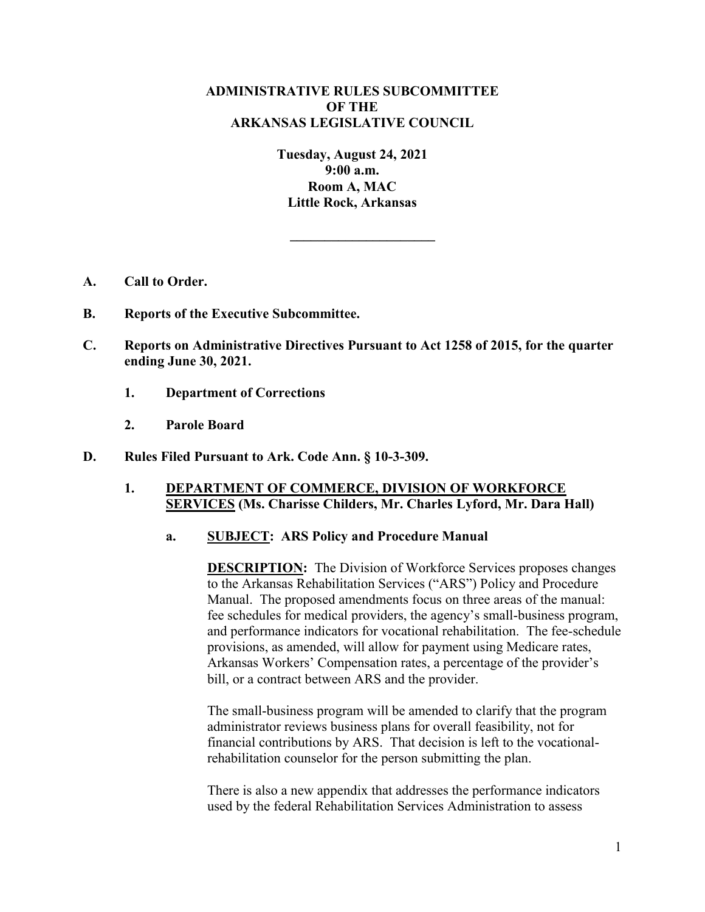# **ADMINISTRATIVE RULES SUBCOMMITTEE OF THE ARKANSAS LEGISLATIVE COUNCIL**

**Tuesday, August 24, 2021 9:00 a.m. Room A, MAC Little Rock, Arkansas**

**\_\_\_\_\_\_\_\_\_\_\_\_\_\_\_\_\_\_\_\_\_**

- **A. Call to Order.**
- **B. Reports of the Executive Subcommittee.**
- **C. Reports on Administrative Directives Pursuant to Act 1258 of 2015, for the quarter ending June 30, 2021.**
	- **1. Department of Corrections**
	- **2. Parole Board**
- **D. Rules Filed Pursuant to Ark. Code Ann. § 10-3-309.**

### **1. DEPARTMENT OF COMMERCE, DIVISION OF WORKFORCE SERVICES (Ms. Charisse Childers, Mr. Charles Lyford, Mr. Dara Hall)**

#### **a. SUBJECT: ARS Policy and Procedure Manual**

**DESCRIPTION:** The Division of Workforce Services proposes changes to the Arkansas Rehabilitation Services ("ARS") Policy and Procedure Manual. The proposed amendments focus on three areas of the manual: fee schedules for medical providers, the agency's small-business program, and performance indicators for vocational rehabilitation. The fee-schedule provisions, as amended, will allow for payment using Medicare rates, Arkansas Workers' Compensation rates, a percentage of the provider's bill, or a contract between ARS and the provider.

The small-business program will be amended to clarify that the program administrator reviews business plans for overall feasibility, not for financial contributions by ARS. That decision is left to the vocationalrehabilitation counselor for the person submitting the plan.

There is also a new appendix that addresses the performance indicators used by the federal Rehabilitation Services Administration to assess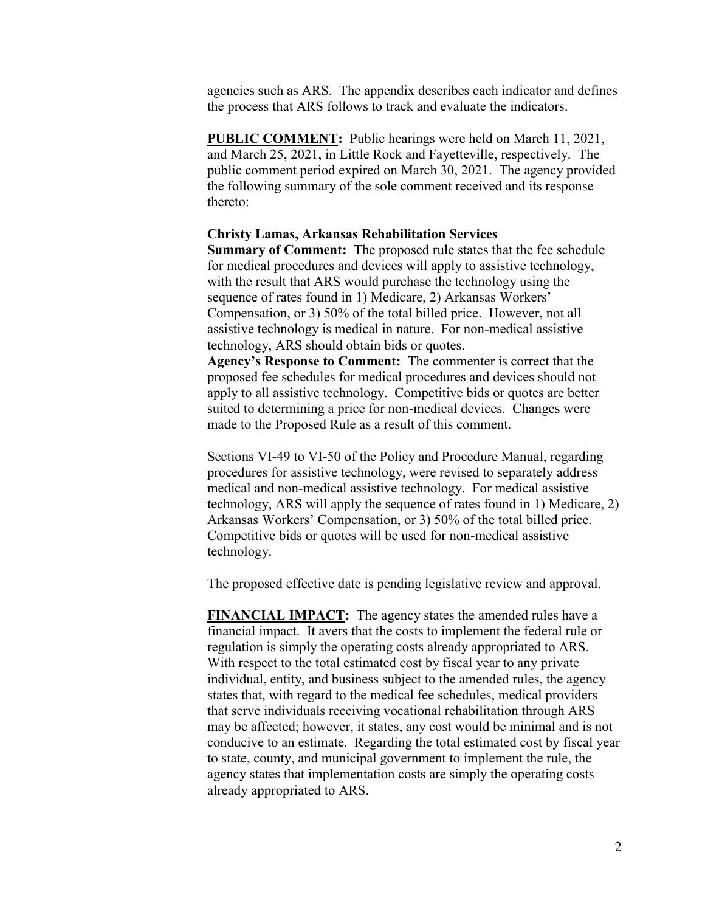agencies such as ARS. The appendix describes each indicator and defines the process that ARS follows to track and evaluate the indicators.

**PUBLIC COMMENT:** Public hearings were held on March 11, 2021, and March 25, 2021, in Little Rock and Fayetteville, respectively. The public comment period expired on March 30, 2021. The agency provided the following summary of the sole comment received and its response thereto:

#### **Christy Lamas, Arkansas Rehabilitation Services**

**Summary of Comment:** The proposed rule states that the fee schedule for medical procedures and devices will apply to assistive technology, with the result that ARS would purchase the technology using the sequence of rates found in 1) Medicare, 2) Arkansas Workers' Compensation, or 3) 50% of the total billed price. However, not all assistive technology is medical in nature. For non-medical assistive technology, ARS should obtain bids or quotes.

**Agency's Response to Comment:** The commenter is correct that the proposed fee schedules for medical procedures and devices should not apply to all assistive technology. Competitive bids or quotes are better suited to determining a price for non-medical devices. Changes were made to the Proposed Rule as a result of this comment.

Sections VI-49 to VI-50 of the Policy and Procedure Manual, regarding procedures for assistive technology, were revised to separately address medical and non-medical assistive technology. For medical assistive technology, ARS will apply the sequence of rates found in 1) Medicare, 2) Arkansas Workers' Compensation, or 3) 50% of the total billed price. Competitive bids or quotes will be used for non-medical assistive technology.

The proposed effective date is pending legislative review and approval.

**FINANCIAL IMPACT:** The agency states the amended rules have a financial impact. It avers that the costs to implement the federal rule or regulation is simply the operating costs already appropriated to ARS. With respect to the total estimated cost by fiscal year to any private individual, entity, and business subject to the amended rules, the agency states that, with regard to the medical fee schedules, medical providers that serve individuals receiving vocational rehabilitation through ARS may be affected; however, it states, any cost would be minimal and is not conducive to an estimate. Regarding the total estimated cost by fiscal year to state, county, and municipal government to implement the rule, the agency states that implementation costs are simply the operating costs already appropriated to ARS.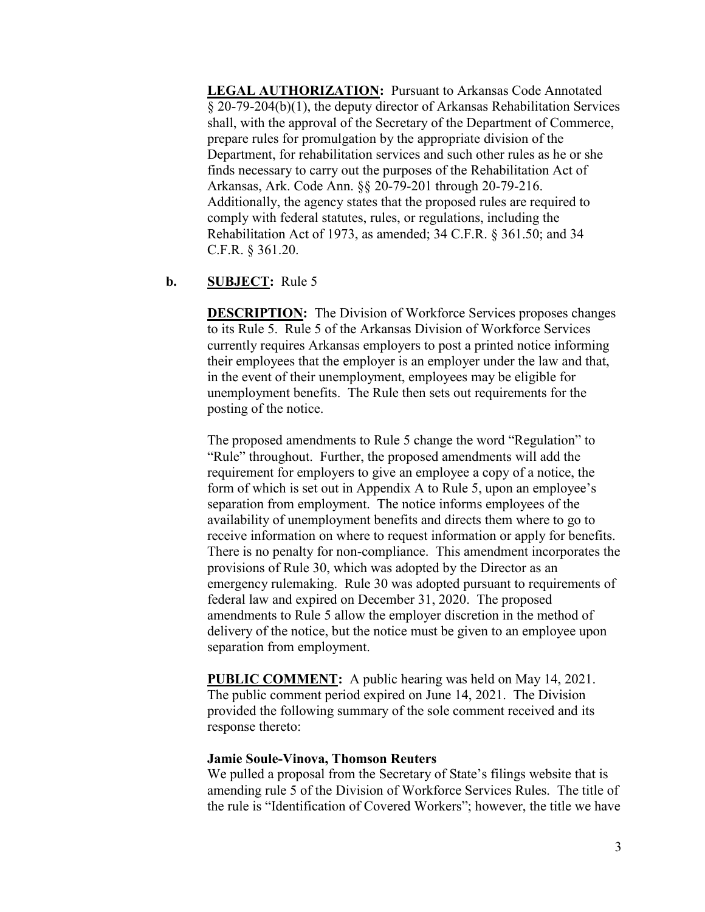**LEGAL AUTHORIZATION:** Pursuant to Arkansas Code Annotated § 20-79-204(b)(1), the deputy director of Arkansas Rehabilitation Services shall, with the approval of the Secretary of the Department of Commerce, prepare rules for promulgation by the appropriate division of the Department, for rehabilitation services and such other rules as he or she finds necessary to carry out the purposes of the Rehabilitation Act of Arkansas, Ark. Code Ann. §§ 20-79-201 through 20-79-216. Additionally, the agency states that the proposed rules are required to comply with federal statutes, rules, or regulations, including the Rehabilitation Act of 1973, as amended; 34 C.F.R. § 361.50; and 34 C.F.R. § 361.20.

### **b. SUBJECT:** Rule 5

**DESCRIPTION:** The Division of Workforce Services proposes changes to its Rule 5. Rule 5 of the Arkansas Division of Workforce Services currently requires Arkansas employers to post a printed notice informing their employees that the employer is an employer under the law and that, in the event of their unemployment, employees may be eligible for unemployment benefits. The Rule then sets out requirements for the posting of the notice.

The proposed amendments to Rule 5 change the word "Regulation" to "Rule" throughout. Further, the proposed amendments will add the requirement for employers to give an employee a copy of a notice, the form of which is set out in Appendix A to Rule 5, upon an employee's separation from employment. The notice informs employees of the availability of unemployment benefits and directs them where to go to receive information on where to request information or apply for benefits. There is no penalty for non-compliance. This amendment incorporates the provisions of Rule 30, which was adopted by the Director as an emergency rulemaking. Rule 30 was adopted pursuant to requirements of federal law and expired on December 31, 2020. The proposed amendments to Rule 5 allow the employer discretion in the method of delivery of the notice, but the notice must be given to an employee upon separation from employment.

**PUBLIC COMMENT:** A public hearing was held on May 14, 2021. The public comment period expired on June 14, 2021. The Division provided the following summary of the sole comment received and its response thereto:

#### **Jamie Soule-Vinova, Thomson Reuters**

We pulled a proposal from the Secretary of State's filings website that is amending rule 5 of the Division of Workforce Services Rules. The title of the rule is "Identification of Covered Workers"; however, the title we have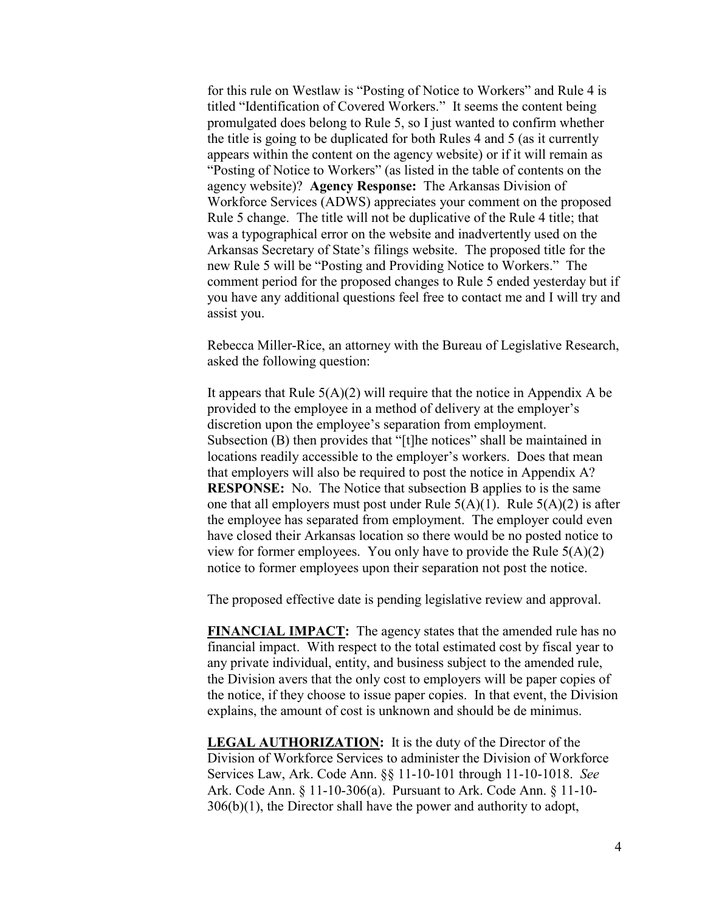for this rule on Westlaw is "Posting of Notice to Workers" and Rule 4 is titled "Identification of Covered Workers." It seems the content being promulgated does belong to Rule 5, so I just wanted to confirm whether the title is going to be duplicated for both Rules 4 and 5 (as it currently appears within the content on the agency website) or if it will remain as "Posting of Notice to Workers" (as listed in the table of contents on the agency website)? **Agency Response:** The Arkansas Division of Workforce Services (ADWS) appreciates your comment on the proposed Rule 5 change. The title will not be duplicative of the Rule 4 title; that was a typographical error on the website and inadvertently used on the Arkansas Secretary of State's filings website. The proposed title for the new Rule 5 will be "Posting and Providing Notice to Workers." The comment period for the proposed changes to Rule 5 ended yesterday but if you have any additional questions feel free to contact me and I will try and assist you.

Rebecca Miller-Rice, an attorney with the Bureau of Legislative Research, asked the following question:

It appears that Rule  $5(A)(2)$  will require that the notice in Appendix A be provided to the employee in a method of delivery at the employer's discretion upon the employee's separation from employment. Subsection (B) then provides that "[t]he notices" shall be maintained in locations readily accessible to the employer's workers. Does that mean that employers will also be required to post the notice in Appendix A? **RESPONSE:** No. The Notice that subsection B applies to is the same one that all employers must post under Rule  $5(A)(1)$ . Rule  $5(A)(2)$  is after the employee has separated from employment. The employer could even have closed their Arkansas location so there would be no posted notice to view for former employees. You only have to provide the Rule  $5(A)(2)$ notice to former employees upon their separation not post the notice.

The proposed effective date is pending legislative review and approval.

**FINANCIAL IMPACT:** The agency states that the amended rule has no financial impact. With respect to the total estimated cost by fiscal year to any private individual, entity, and business subject to the amended rule, the Division avers that the only cost to employers will be paper copies of the notice, if they choose to issue paper copies. In that event, the Division explains, the amount of cost is unknown and should be de minimus.

**LEGAL AUTHORIZATION:** It is the duty of the Director of the Division of Workforce Services to administer the Division of Workforce Services Law, Ark. Code Ann. §§ 11-10-101 through 11-10-1018. *See* Ark. Code Ann. § 11-10-306(a). Pursuant to Ark. Code Ann. § 11-10- 306(b)(1), the Director shall have the power and authority to adopt,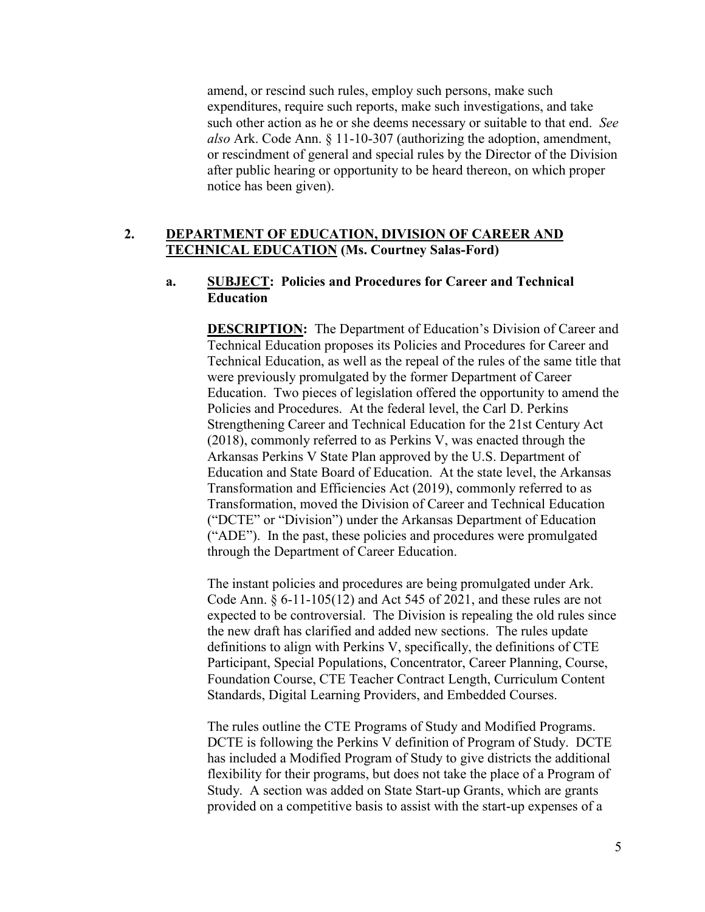amend, or rescind such rules, employ such persons, make such expenditures, require such reports, make such investigations, and take such other action as he or she deems necessary or suitable to that end. *See also* Ark. Code Ann. § 11-10-307 (authorizing the adoption, amendment, or rescindment of general and special rules by the Director of the Division after public hearing or opportunity to be heard thereon, on which proper notice has been given).

# **2. DEPARTMENT OF EDUCATION, DIVISION OF CAREER AND TECHNICAL EDUCATION (Ms. Courtney Salas-Ford)**

## **a. SUBJECT: Policies and Procedures for Career and Technical Education**

**DESCRIPTION:** The Department of Education's Division of Career and Technical Education proposes its Policies and Procedures for Career and Technical Education, as well as the repeal of the rules of the same title that were previously promulgated by the former Department of Career Education. Two pieces of legislation offered the opportunity to amend the Policies and Procedures. At the federal level, the Carl D. Perkins Strengthening Career and Technical Education for the 21st Century Act (2018), commonly referred to as Perkins V, was enacted through the Arkansas Perkins V State Plan approved by the U.S. Department of Education and State Board of Education. At the state level, the Arkansas Transformation and Efficiencies Act (2019), commonly referred to as Transformation, moved the Division of Career and Technical Education ("DCTE" or "Division") under the Arkansas Department of Education ("ADE"). In the past, these policies and procedures were promulgated through the Department of Career Education.

The instant policies and procedures are being promulgated under Ark. Code Ann. § 6-11-105(12) and Act 545 of 2021, and these rules are not expected to be controversial. The Division is repealing the old rules since the new draft has clarified and added new sections. The rules update definitions to align with Perkins V, specifically, the definitions of CTE Participant, Special Populations, Concentrator, Career Planning, Course, Foundation Course, CTE Teacher Contract Length, Curriculum Content Standards, Digital Learning Providers, and Embedded Courses.

The rules outline the CTE Programs of Study and Modified Programs. DCTE is following the Perkins V definition of Program of Study. DCTE has included a Modified Program of Study to give districts the additional flexibility for their programs, but does not take the place of a Program of Study. A section was added on State Start-up Grants, which are grants provided on a competitive basis to assist with the start-up expenses of a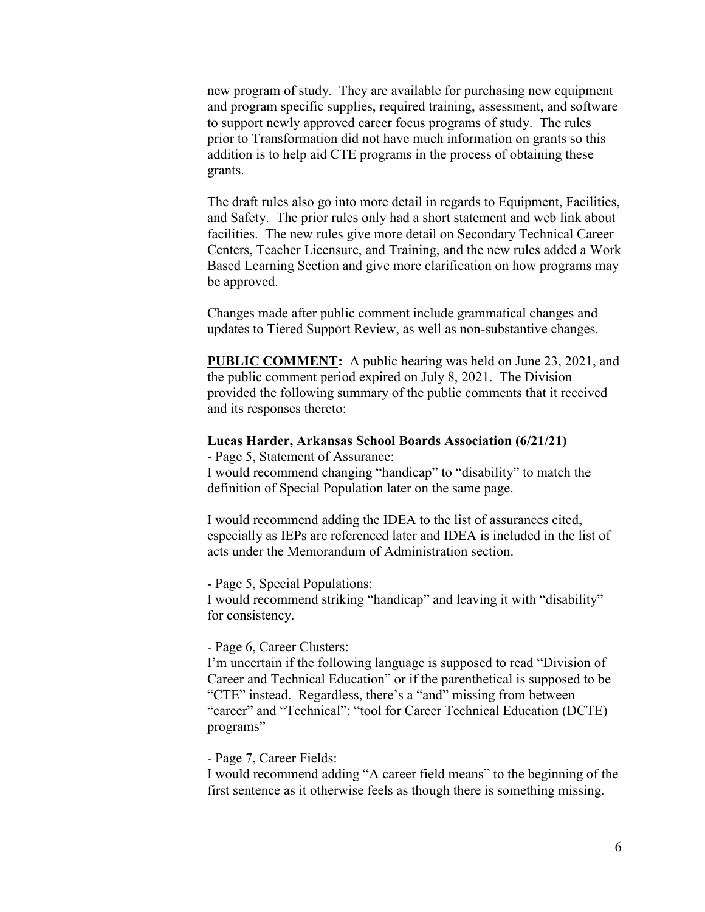new program of study. They are available for purchasing new equipment and program specific supplies, required training, assessment, and software to support newly approved career focus programs of study. The rules prior to Transformation did not have much information on grants so this addition is to help aid CTE programs in the process of obtaining these grants.

The draft rules also go into more detail in regards to Equipment, Facilities, and Safety. The prior rules only had a short statement and web link about facilities. The new rules give more detail on Secondary Technical Career Centers, Teacher Licensure, and Training, and the new rules added a Work Based Learning Section and give more clarification on how programs may be approved.

Changes made after public comment include grammatical changes and updates to Tiered Support Review, as well as non-substantive changes.

**PUBLIC COMMENT:** A public hearing was held on June 23, 2021, and the public comment period expired on July 8, 2021. The Division provided the following summary of the public comments that it received and its responses thereto:

#### **Lucas Harder, Arkansas School Boards Association (6/21/21)**

- Page 5, Statement of Assurance:

I would recommend changing "handicap" to "disability" to match the definition of Special Population later on the same page.

I would recommend adding the IDEA to the list of assurances cited, especially as IEPs are referenced later and IDEA is included in the list of acts under the Memorandum of Administration section.

- Page 5, Special Populations:

I would recommend striking "handicap" and leaving it with "disability" for consistency.

- Page 6, Career Clusters:

I'm uncertain if the following language is supposed to read "Division of Career and Technical Education" or if the parenthetical is supposed to be "CTE" instead. Regardless, there's a "and" missing from between "career" and "Technical": "tool for Career Technical Education (DCTE) programs"

- Page 7, Career Fields:

I would recommend adding "A career field means" to the beginning of the first sentence as it otherwise feels as though there is something missing.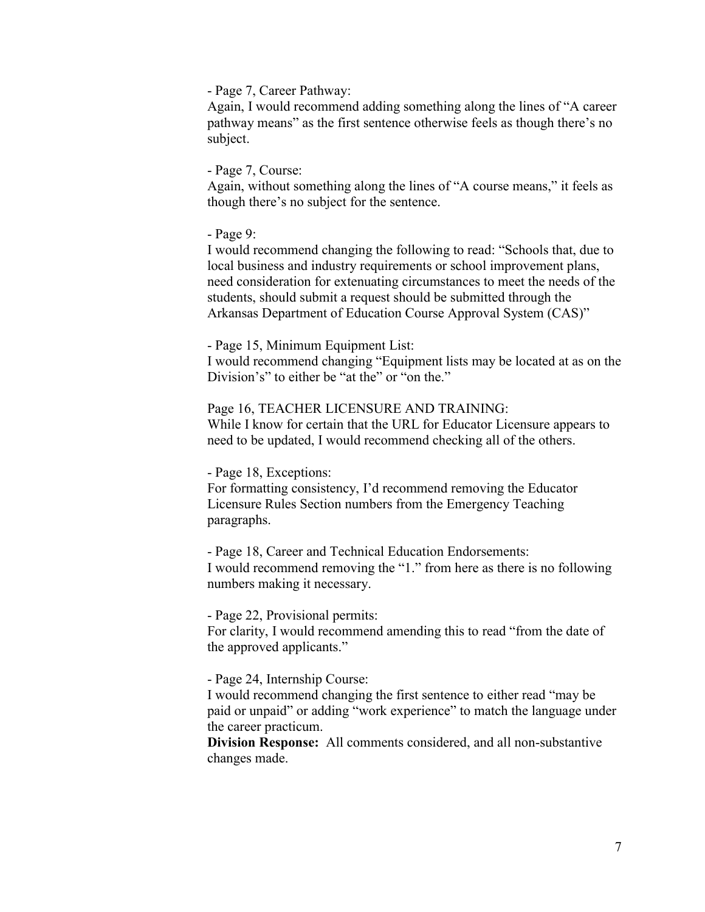- Page 7, Career Pathway:

Again, I would recommend adding something along the lines of "A career pathway means" as the first sentence otherwise feels as though there's no subject.

- Page 7, Course:

Again, without something along the lines of "A course means," it feels as though there's no subject for the sentence.

- Page 9:

I would recommend changing the following to read: "Schools that, due to local business and industry requirements or school improvement plans, need consideration for extenuating circumstances to meet the needs of the students, should submit a request should be submitted through the Arkansas Department of Education Course Approval System (CAS)"

- Page 15, Minimum Equipment List:

I would recommend changing "Equipment lists may be located at as on the Division's" to either be "at the" or "on the."

Page 16, TEACHER LICENSURE AND TRAINING: While I know for certain that the URL for Educator Licensure appears to

need to be updated, I would recommend checking all of the others.

- Page 18, Exceptions:

For formatting consistency, I'd recommend removing the Educator Licensure Rules Section numbers from the Emergency Teaching paragraphs.

- Page 18, Career and Technical Education Endorsements: I would recommend removing the "1." from here as there is no following numbers making it necessary.

- Page 22, Provisional permits:

For clarity, I would recommend amending this to read "from the date of the approved applicants."

- Page 24, Internship Course:

I would recommend changing the first sentence to either read "may be paid or unpaid" or adding "work experience" to match the language under the career practicum.

**Division Response:** All comments considered, and all non-substantive changes made.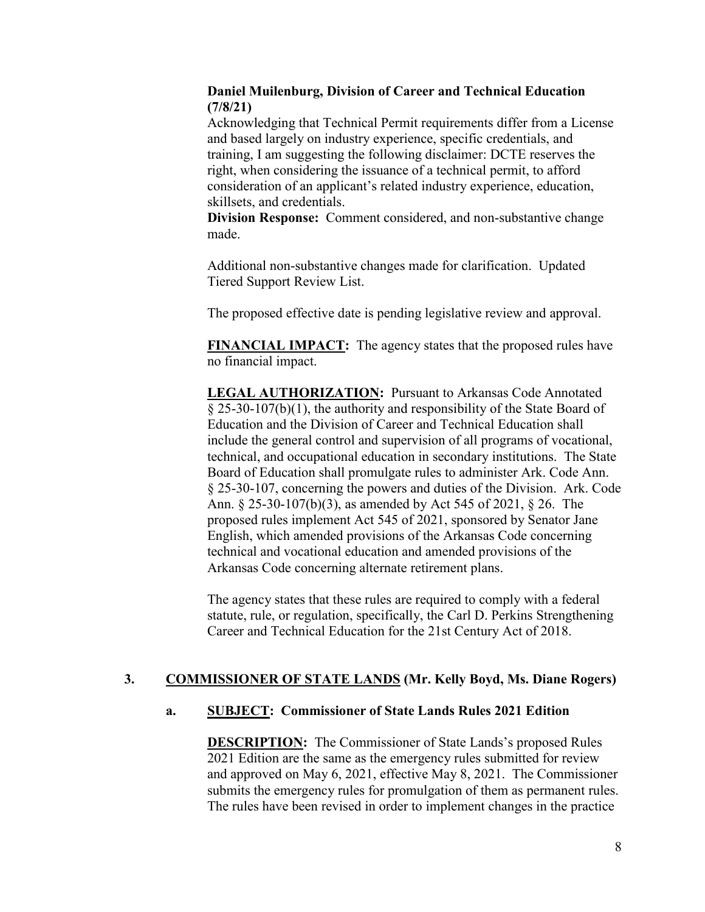## **Daniel Muilenburg, Division of Career and Technical Education (7/8/21)**

Acknowledging that Technical Permit requirements differ from a License and based largely on industry experience, specific credentials, and training, I am suggesting the following disclaimer: DCTE reserves the right, when considering the issuance of a technical permit, to afford consideration of an applicant's related industry experience, education, skillsets, and credentials.

**Division Response:** Comment considered, and non-substantive change made.

Additional non-substantive changes made for clarification. Updated Tiered Support Review List.

The proposed effective date is pending legislative review and approval.

**FINANCIAL IMPACT:** The agency states that the proposed rules have no financial impact.

**LEGAL AUTHORIZATION:** Pursuant to Arkansas Code Annotated § 25-30-107(b)(1), the authority and responsibility of the State Board of Education and the Division of Career and Technical Education shall include the general control and supervision of all programs of vocational, technical, and occupational education in secondary institutions. The State Board of Education shall promulgate rules to administer Ark. Code Ann. § 25-30-107, concerning the powers and duties of the Division. Ark. Code Ann. § 25-30-107(b)(3), as amended by Act 545 of 2021, § 26. The proposed rules implement Act 545 of 2021, sponsored by Senator Jane English, which amended provisions of the Arkansas Code concerning technical and vocational education and amended provisions of the Arkansas Code concerning alternate retirement plans.

The agency states that these rules are required to comply with a federal statute, rule, or regulation, specifically, the Carl D. Perkins Strengthening Career and Technical Education for the 21st Century Act of 2018.

# **3. COMMISSIONER OF STATE LANDS (Mr. Kelly Boyd, Ms. Diane Rogers)**

## **a. SUBJECT: Commissioner of State Lands Rules 2021 Edition**

**DESCRIPTION:** The Commissioner of State Lands's proposed Rules 2021 Edition are the same as the emergency rules submitted for review and approved on May 6, 2021, effective May 8, 2021. The Commissioner submits the emergency rules for promulgation of them as permanent rules. The rules have been revised in order to implement changes in the practice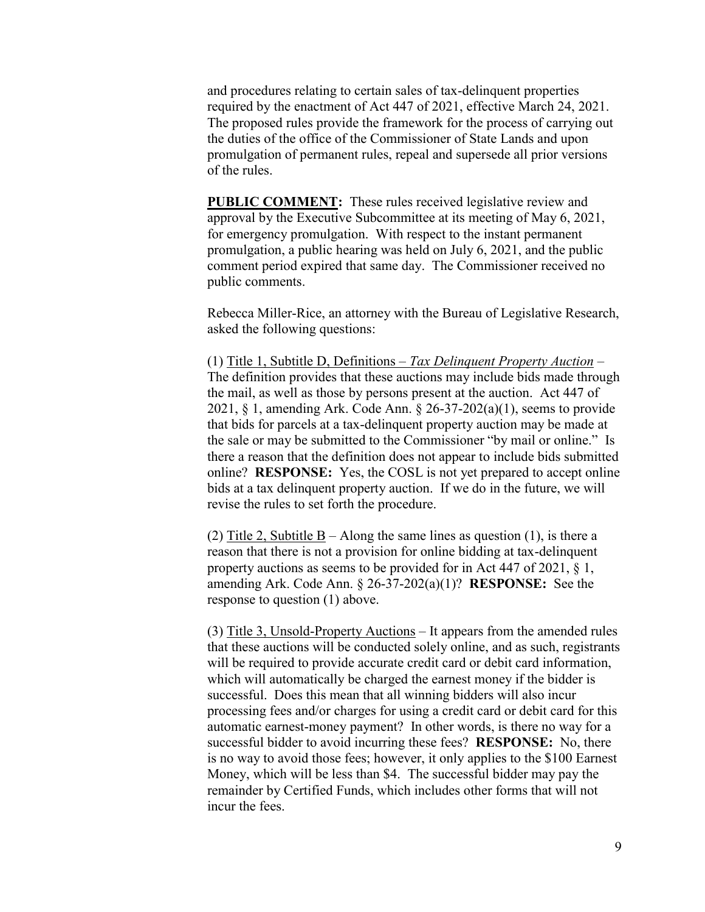and procedures relating to certain sales of tax-delinquent properties required by the enactment of Act 447 of 2021, effective March 24, 2021. The proposed rules provide the framework for the process of carrying out the duties of the office of the Commissioner of State Lands and upon promulgation of permanent rules, repeal and supersede all prior versions of the rules.

**PUBLIC COMMENT:** These rules received legislative review and approval by the Executive Subcommittee at its meeting of May 6, 2021, for emergency promulgation. With respect to the instant permanent promulgation, a public hearing was held on July 6, 2021, and the public comment period expired that same day. The Commissioner received no public comments.

Rebecca Miller-Rice, an attorney with the Bureau of Legislative Research, asked the following questions:

(1) Title 1, Subtitle D, Definitions – *Tax Delinquent Property Auction* – The definition provides that these auctions may include bids made through the mail, as well as those by persons present at the auction. Act 447 of 2021, § 1, amending Ark. Code Ann. § 26-37-202(a)(1), seems to provide that bids for parcels at a tax-delinquent property auction may be made at the sale or may be submitted to the Commissioner "by mail or online." Is there a reason that the definition does not appear to include bids submitted online? **RESPONSE:** Yes, the COSL is not yet prepared to accept online bids at a tax delinquent property auction. If we do in the future, we will revise the rules to set forth the procedure.

(2) Title 2, Subtitle  $B -$  Along the same lines as question (1), is there a reason that there is not a provision for online bidding at tax-delinquent property auctions as seems to be provided for in Act 447 of 2021, § 1, amending Ark. Code Ann. § 26-37-202(a)(1)? **RESPONSE:** See the response to question (1) above.

(3) Title 3, Unsold-Property Auctions – It appears from the amended rules that these auctions will be conducted solely online, and as such, registrants will be required to provide accurate credit card or debit card information, which will automatically be charged the earnest money if the bidder is successful. Does this mean that all winning bidders will also incur processing fees and/or charges for using a credit card or debit card for this automatic earnest-money payment? In other words, is there no way for a successful bidder to avoid incurring these fees? **RESPONSE:** No, there is no way to avoid those fees; however, it only applies to the \$100 Earnest Money, which will be less than \$4. The successful bidder may pay the remainder by Certified Funds, which includes other forms that will not incur the fees.